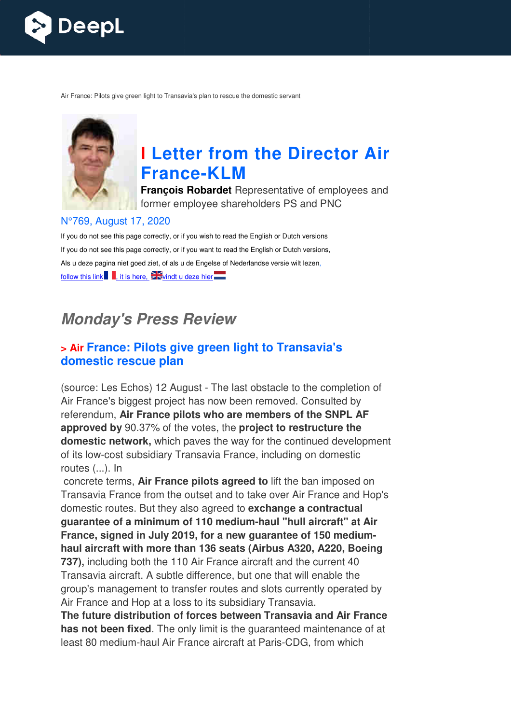

Air France: Pilots give green light to Transavia's plan to rescue the domestic servant



# **I Letter from the Director Air France France-KLM**

**François Robardet** Representative of employees and former employee shareholders PS and PNC

#### N°769, August 17, 2020

If you do not see this page correctly, or if you wish to read the English or Dutch versions If you do not see this page correctly, or if you want to read the English or Dutch versions, Als u deze pagina niet goed ziet, of als u de Engelse of Nederlandse versie wilt lezen, follow this link , it is here,  $\frac{1}{2}$  windt u deze hier

# **Monday's Press Review**

## **> Air France: Pilots give green light to Transavia's domestic rescue plan**

(source: Les Echos) 12 August - The last obstacle to the completion of Air France's biggest project has now been removed. Consulted by referendum, **Air France pilots who are members of the SNPL AF approved by** 90.37% of the votes, the **project to restructure the domestic network,** which paves the way for the continued development of its low-cost subsidiary Transavia France, including on domestic routes (...). In

 concrete terms, **Air France pilots agreed to** lift the ban imposed on Transavia France from the outset and to take over Air France and Hop's domestic routes. But they also agreed to **exchange a contractual guarantee of a minimum of 110 medium medium-haul "hull aircraft" at Air**  guarantee of a minimum of 110 medium-haul "hull aircraft" at Air<br>France, signed in July 2019, for a new guarantee of 150 medium**haul aircraft with more than 136 seats (Airbus A320, A220, Boeing 737),** including both the 110 Air France aircraft and the current 40 Transavia aircraft. A subtle difference, but one that will enable the group's management to transfer routes and slots currently operated by Air France and Hop at a loss to its subsidiary Transavia.

**The future distribution of forces between Transavia and Air France has not been fixed**. The only limit is the guaranteed maintenance of at least 80 medium-haul Air France aircraft at Paris ance and Hop at a loss to its subsidiary Transavia.<br>**uture distribution of forces between Transavia and Air Franct been fixed**. The only limit is the guaranteed maintenance (80 medium-haul Air France aircraft at Paris-CDG,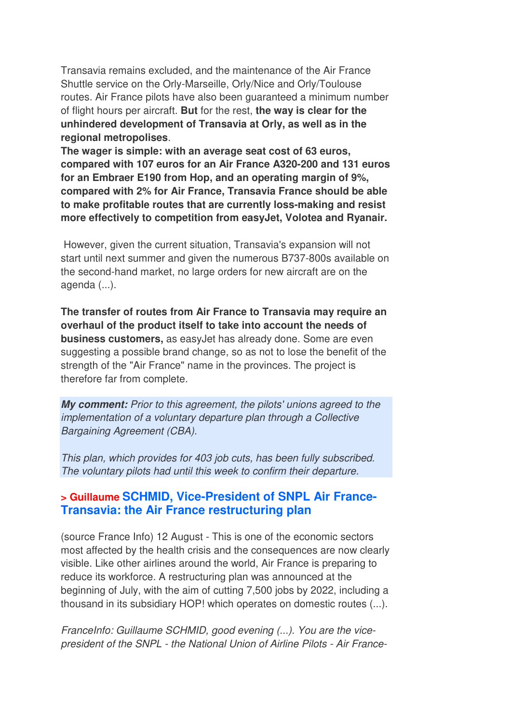Transavia remains excluded, and the maintenance of the Air France Shuttle service on the Orly-Marseille, Orly/Nice and Orly/Toulouse routes. Air France pilots have also been guaranteed a minimum number of flight hours per aircraft. **But** for the rest, **the way is clear for the unhindered development of Transavia at Orly, as well as in the regional metropolises**.

**The wager is simple: with an average seat cost of 63 euros, compared with 107 euros for an Air France A320-200 and 131 euros for an Embraer E190 from Hop, and an operating margin of 9%, compared with 2% for Air France, Transavia France should be able to make profitable routes that are currently loss-making and resist more effectively to competition from easyJet, Volotea and Ryanair.**

 However, given the current situation, Transavia's expansion will not start until next summer and given the numerous B737-800s available on the second-hand market, no large orders for new aircraft are on the agenda (...).

**The transfer of routes from Air France to Transavia may require an overhaul of the product itself to take into account the needs of business customers,** as easyJet has already done. Some are even suggesting a possible brand change, so as not to lose the benefit of the strength of the "Air France" name in the provinces. The project is therefore far from complete.

**My comment:** Prior to this agreement, the pilots' unions agreed to the implementation of a voluntary departure plan through a Collective Bargaining Agreement (CBA).

This plan, which provides for 403 job cuts, has been fully subscribed. The voluntary pilots had until this week to confirm their departure.

### **> Guillaume SCHMID, Vice-President of SNPL Air France-Transavia: the Air France restructuring plan**

(source France Info) 12 August - This is one of the economic sectors most affected by the health crisis and the consequences are now clearly visible. Like other airlines around the world, Air France is preparing to reduce its workforce. A restructuring plan was announced at the beginning of July, with the aim of cutting 7,500 jobs by 2022, including a thousand in its subsidiary HOP! which operates on domestic routes (...).

FranceInfo: Guillaume SCHMID, good evening (...). You are the vicepresident of the SNPL - the National Union of Airline Pilots - Air France-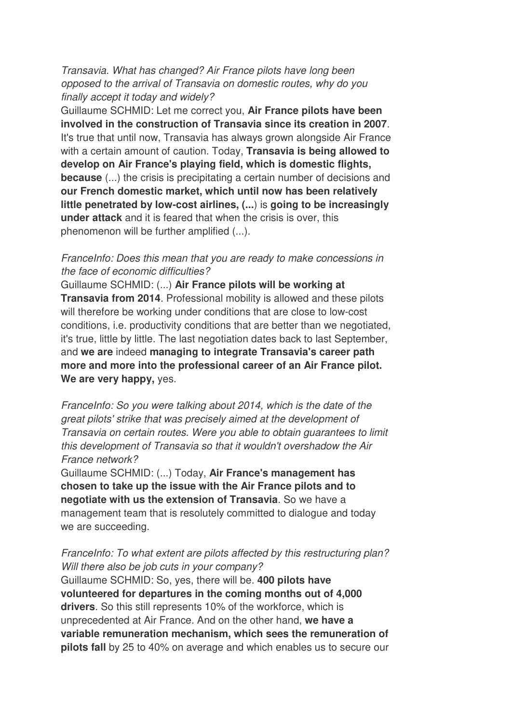Transavia. What has changed? Air France pilots have long been opposed to the arrival of Transavia on domestic routes, why do you finally accept it today and widely?

Guillaume SCHMID: Let me correct you, **Air France pilots have been involved in the construction of Transavia since its creation in 2007**. It's true that until now, Transavia has always grown alongside Air France with a certain amount of caution. Today, **Transavia is being allowed to develop on Air France's playing field, which is domestic flights, because** (...) the crisis is precipitating a certain number of decisions and **our French domestic market, which until now has been relatively little penetrated by low-cost airlines, (...**) is **going to be increasingly under attack** and it is feared that when the crisis is over, this phenomenon will be further amplified (...).

#### FranceInfo: Does this mean that you are ready to make concessions in the face of economic difficulties?

Guillaume SCHMID: (...) **Air France pilots will be working at Transavia from 2014**. Professional mobility is allowed and these pilots will therefore be working under conditions that are close to low-cost conditions, i.e. productivity conditions that are better than we negotiated, it's true, little by little. The last negotiation dates back to last September, and **we are** indeed **managing to integrate Transavia's career path more and more into the professional career of an Air France pilot. We are very happy,** yes.

FranceInfo: So you were talking about 2014, which is the date of the great pilots' strike that was precisely aimed at the development of Transavia on certain routes. Were you able to obtain guarantees to limit this development of Transavia so that it wouldn't overshadow the Air France network?

Guillaume SCHMID: (...) Today, **Air France's management has chosen to take up the issue with the Air France pilots and to negotiate with us the extension of Transavia**. So we have a management team that is resolutely committed to dialogue and today we are succeeding.

#### FranceInfo: To what extent are pilots affected by this restructuring plan? Will there also be job cuts in your company?

Guillaume SCHMID: So, yes, there will be. **400 pilots have volunteered for departures in the coming months out of 4,000 drivers**. So this still represents 10% of the workforce, which is unprecedented at Air France. And on the other hand, **we have a variable remuneration mechanism, which sees the remuneration of pilots fall** by 25 to 40% on average and which enables us to secure our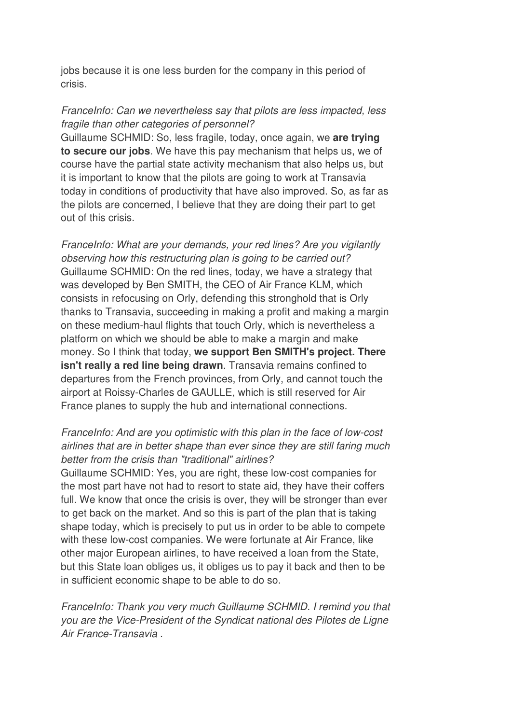jobs because it is one less burden for the company in this period of crisis.

#### FranceInfo: Can we nevertheless say that pilots are less impacted, less fragile than other categories of personnel?

Guillaume SCHMID: So, less fragile, today, once again, we **are trying to secure our jobs**. We have this pay mechanism that helps us, we of course have the partial state activity mechanism that also helps us, but it is important to know that the pilots are going to work at Transavia today in conditions of productivity that have also improved. So, as far as the pilots are concerned, I believe that they are doing their part to get out of this crisis.

FranceInfo: What are your demands, your red lines? Are you vigilantly observing how this restructuring plan is going to be carried out? Guillaume SCHMID: On the red lines, today, we have a strategy that was developed by Ben SMITH, the CEO of Air France KLM, which consists in refocusing on Orly, defending this stronghold that is Orly thanks to Transavia, succeeding in making a profit and making a margin on these medium-haul flights that touch Orly, which is nevertheless a platform on which we should be able to make a margin and make money. So I think that today, **we support Ben SMITH's project. There isn't really a red line being drawn**. Transavia remains confined to departures from the French provinces, from Orly, and cannot touch the airport at Roissy-Charles de GAULLE, which is still reserved for Air France planes to supply the hub and international connections.

#### FranceInfo: And are you optimistic with this plan in the face of low-cost airlines that are in better shape than ever since they are still faring much better from the crisis than "traditional" airlines?

Guillaume SCHMID: Yes, you are right, these low-cost companies for the most part have not had to resort to state aid, they have their coffers full. We know that once the crisis is over, they will be stronger than ever to get back on the market. And so this is part of the plan that is taking shape today, which is precisely to put us in order to be able to compete with these low-cost companies. We were fortunate at Air France, like other major European airlines, to have received a loan from the State, but this State loan obliges us, it obliges us to pay it back and then to be in sufficient economic shape to be able to do so.

FranceInfo: Thank you very much Guillaume SCHMID. I remind you that you are the Vice-President of the Syndicat national des Pilotes de Ligne Air France-Transavia .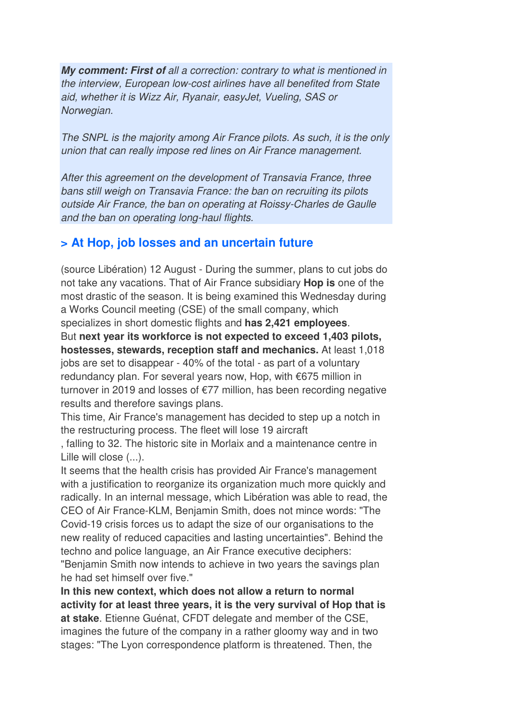**My comment: First of** all a correction: contrary to what is mentioned in the interview, European low-cost airlines have all benefited from State aid, whether it is Wizz Air, Ryanair, easyJet, Vueling, SAS or Norwegian.

The SNPL is the majority among Air France pilots. As such, it is the only union that can really impose red lines on Air France management.

After this agreement on the development of Transavia France, three bans still weigh on Transavia France: the ban on recruiting its pilots outside Air France, the ban on operating at Roissy-Charles de Gaulle and the ban on operating long-haul flights.

## **> At Hop, job losses and an uncertain future**

(source Libération) 12 August - During the summer, plans to cut jobs do not take any vacations. That of Air France subsidiary **Hop is** one of the most drastic of the season. It is being examined this Wednesday during a Works Council meeting (CSE) of the small company, which specializes in short domestic flights and **has 2,421 employees**. But **next year its workforce is not expected to exceed 1,403 pilots, hostesses, stewards, reception staff and mechanics.** At least 1,018 jobs are set to disappear - 40% of the total - as part of a voluntary redundancy plan. For several years now, Hop, with €675 million in turnover in 2019 and losses of €77 million, has been recording negative results and therefore savings plans.

This time, Air France's management has decided to step up a notch in the restructuring process. The fleet will lose 19 aircraft

, falling to 32. The historic site in Morlaix and a maintenance centre in Lille will close  $(...)$ .

It seems that the health crisis has provided Air France's management with a justification to reorganize its organization much more quickly and radically. In an internal message, which Libération was able to read, the CEO of Air France-KLM, Benjamin Smith, does not mince words: "The Covid-19 crisis forces us to adapt the size of our organisations to the new reality of reduced capacities and lasting uncertainties". Behind the techno and police language, an Air France executive deciphers: "Benjamin Smith now intends to achieve in two years the savings plan he had set himself over five."

**In this new context, which does not allow a return to normal activity for at least three years, it is the very survival of Hop that is at stake**. Etienne Guénat, CFDT delegate and member of the CSE, imagines the future of the company in a rather gloomy way and in two stages: "The Lyon correspondence platform is threatened. Then, the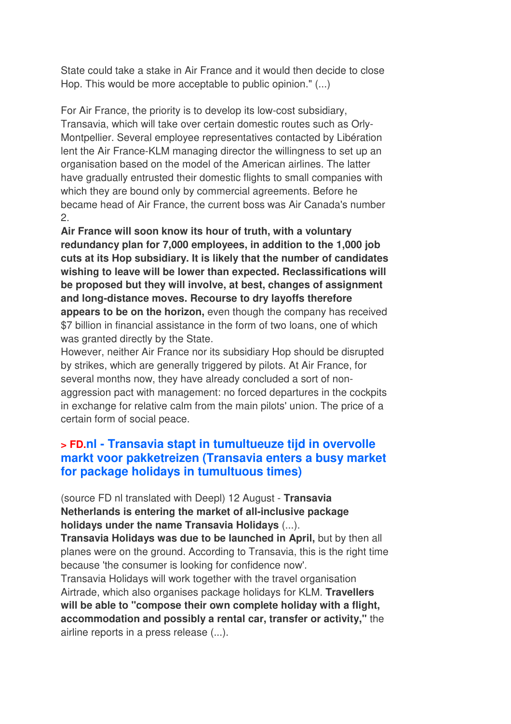State could take a stake in Air France and it would then decide to close Hop. This would be more acceptable to public opinion." (...)

For Air France, the priority is to develop its low-cost subsidiary, Transavia, which will take over certain domestic routes such as Orly-Montpellier. Several employee representatives contacted by Libération lent the Air France-KLM managing director the willingness to set up an organisation based on the model of the American airlines. The latter have gradually entrusted their domestic flights to small companies with which they are bound only by commercial agreements. Before he became head of Air France, the current boss was Air Canada's number 2.

**Air France will soon know its hour of truth, with a voluntary redundancy plan for 7,000 employees, in addition to the 1,000 job cuts at its Hop subsidiary. It is likely that the number of candidates wishing to leave will be lower than expected. Reclassifications will be proposed but they will involve, at best, changes of assignment and long-distance moves. Recourse to dry layoffs therefore appears to be on the horizon,** even though the company has received \$7 billion in financial assistance in the form of two loans, one of which was granted directly by the State.

However, neither Air France nor its subsidiary Hop should be disrupted by strikes, which are generally triggered by pilots. At Air France, for several months now, they have already concluded a sort of nonaggression pact with management: no forced departures in the cockpits in exchange for relative calm from the main pilots' union. The price of a certain form of social peace.

## **> FD.nl - Transavia stapt in tumultueuze tijd in overvolle markt voor pakketreizen (Transavia enters a busy market for package holidays in tumultuous times)**

(source FD nl translated with Deepl) 12 August - **Transavia Netherlands is entering the market of all-inclusive package holidays under the name Transavia Holidays** (...).

**Transavia Holidays was due to be launched in April,** but by then all planes were on the ground. According to Transavia, this is the right time because 'the consumer is looking for confidence now'.

Transavia Holidays will work together with the travel organisation Airtrade, which also organises package holidays for KLM. **Travellers will be able to "compose their own complete holiday with a flight, accommodation and possibly a rental car, transfer or activity,"** the airline reports in a press release (...).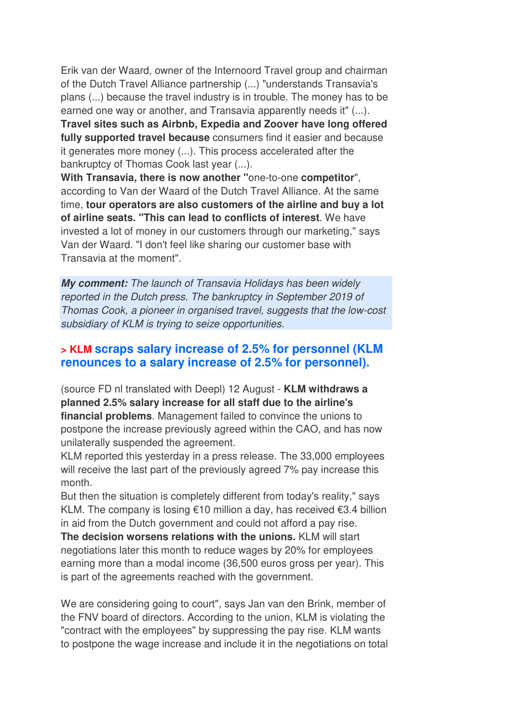Erik van der Waard, owner of the Internoord Travel group and chairman of the Dutch Travel Alliance partnership (...) "understands Transavia's plans (...) because the travel industry is in trouble. The money has to be earned one way or another, and Transavia apparently needs it" (...). **Travel sites such as Airbnb, Expedia and Zoover have long offered fully supported travel because** consumers find it easier and because it generates more money (...). This process accelerated after the bankruptcy of Thomas Cook last year (...).

**With Transavia, there is now another "**one-to-one **competitor**", according to Van der Waard of the Dutch Travel Alliance. At the same time, **tour operators are also customers of the airline and buy a lot of airline seats. "This can lead to conflicts of interest**. We have invested a lot of money in our customers through our marketing," says Van der Waard. "I don't feel like sharing our customer base with Transavia at the moment".

**My comment:** The launch of Transavia Holidays has been widely reported in the Dutch press. The bankruptcy in September 2019 of Thomas Cook, a pioneer in organised travel, suggests that the low-cost subsidiary of KLM is trying to seize opportunities.

### **> KLM scraps salary increase of 2.5% for personnel (KLM renounces to a salary increase of 2.5% for personnel).**

(source FD nl translated with Deepl) 12 August - **KLM withdraws a planned 2.5% salary increase for all staff due to the airline's financial problems**. Management failed to convince the unions to postpone the increase previously agreed within the CAO, and has now unilaterally suspended the agreement.

KLM reported this yesterday in a press release. The 33,000 employees will receive the last part of the previously agreed 7% pay increase this month.

But then the situation is completely different from today's reality," says KLM. The company is losing €10 million a day, has received €3.4 billion in aid from the Dutch government and could not afford a pay rise.

**The decision worsens relations with the unions.** KLM will start negotiations later this month to reduce wages by 20% for employees earning more than a modal income (36,500 euros gross per year). This is part of the agreements reached with the government.

We are considering going to court", says Jan van den Brink, member of the FNV board of directors. According to the union, KLM is violating the "contract with the employees" by suppressing the pay rise. KLM wants to postpone the wage increase and include it in the negotiations on total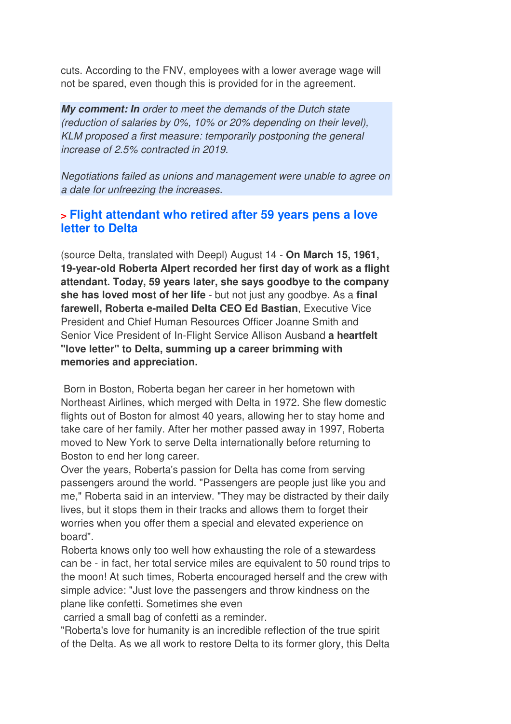cuts. According to the FNV, employees with a lower average wage will not be spared, even though this is provided for in the agreement.

**My comment: In** order to meet the demands of the Dutch state (reduction of salaries by 0%, 10% or 20% depending on their level), KLM proposed a first measure: temporarily postponing the general increase of 2.5% contracted in 2019.

Negotiations failed as unions and management were unable to agree on a date for unfreezing the increases.

## **> Flight attendant who retired after 59 years pens a love letter to Delta**

(source Delta, translated with Deepl) August 14 - **On March 15, 1961, 19-year-old Roberta Alpert recorded her first day of work as a flight attendant. Today, 59 years later, she says goodbye to the company she has loved most of her life** - but not just any goodbye. As a **final farewell, Roberta e-mailed Delta CEO Ed Bastian**, Executive Vice President and Chief Human Resources Officer Joanne Smith and Senior Vice President of In-Flight Service Allison Ausband **a heartfelt "love letter" to Delta, summing up a career brimming with memories and appreciation.** 

 Born in Boston, Roberta began her career in her hometown with Northeast Airlines, which merged with Delta in 1972. She flew domestic flights out of Boston for almost 40 years, allowing her to stay home and take care of her family. After her mother passed away in 1997, Roberta moved to New York to serve Delta internationally before returning to Boston to end her long career.

Over the years, Roberta's passion for Delta has come from serving passengers around the world. "Passengers are people just like you and me," Roberta said in an interview. "They may be distracted by their daily lives, but it stops them in their tracks and allows them to forget their worries when you offer them a special and elevated experience on board".

Roberta knows only too well how exhausting the role of a stewardess can be - in fact, her total service miles are equivalent to 50 round trips to the moon! At such times, Roberta encouraged herself and the crew with simple advice: "Just love the passengers and throw kindness on the plane like confetti. Sometimes she even

carried a small bag of confetti as a reminder.

"Roberta's love for humanity is an incredible reflection of the true spirit of the Delta. As we all work to restore Delta to its former glory, this Delta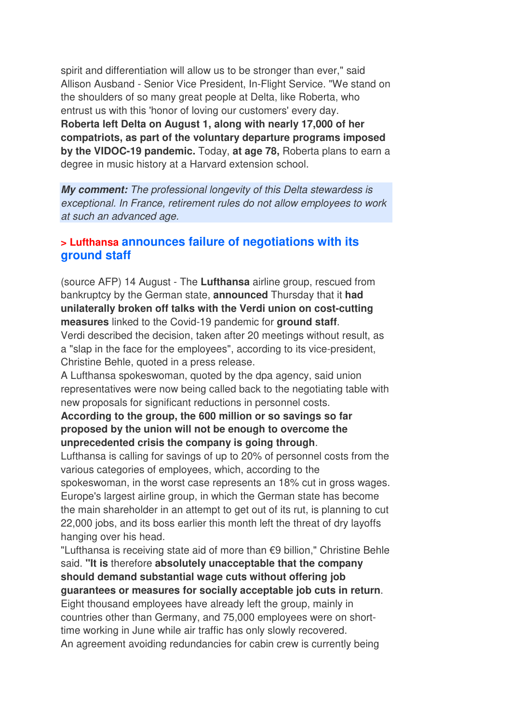spirit and differentiation will allow us to be stronger than ever," said Allison Ausband - Senior Vice President, In-Flight Service. "We stand on the shoulders of so many great people at Delta, like Roberta, who entrust us with this 'honor of loving our customers' every day. **Roberta left Delta on August 1, along with nearly 17,000 of her compatriots, as part of the voluntary departure programs imposed by the VIDOC-19 pandemic.** Today, **at age 78,** Roberta plans to earn a degree in music history at a Harvard extension school.

**My comment:** The professional longevity of this Delta stewardess is exceptional. In France, retirement rules do not allow employees to work at such an advanced age.

### **> Lufthansa announces failure of negotiations with its ground staff**

(source AFP) 14 August - The **Lufthansa** airline group, rescued from bankruptcy by the German state, **announced** Thursday that it **had unilaterally broken off talks with the Verdi union on cost-cutting measures** linked to the Covid-19 pandemic for **ground staff**. Verdi described the decision, taken after 20 meetings without result, as a "slap in the face for the employees", according to its vice-president,

Christine Behle, quoted in a press release.

A Lufthansa spokeswoman, quoted by the dpa agency, said union representatives were now being called back to the negotiating table with new proposals for significant reductions in personnel costs.

### **According to the group, the 600 million or so savings so far proposed by the union will not be enough to overcome the unprecedented crisis the company is going through**.

Lufthansa is calling for savings of up to 20% of personnel costs from the various categories of employees, which, according to the spokeswoman, in the worst case represents an 18% cut in gross wages. Europe's largest airline group, in which the German state has become the main shareholder in an attempt to get out of its rut, is planning to cut 22,000 jobs, and its boss earlier this month left the threat of dry layoffs hanging over his head.

"Lufthansa is receiving state aid of more than €9 billion," Christine Behle said. **"It is** therefore **absolutely unacceptable that the company should demand substantial wage cuts without offering job guarantees or measures for socially acceptable job cuts in return**. Eight thousand employees have already left the group, mainly in countries other than Germany, and 75,000 employees were on short-

time working in June while air traffic has only slowly recovered. An agreement avoiding redundancies for cabin crew is currently being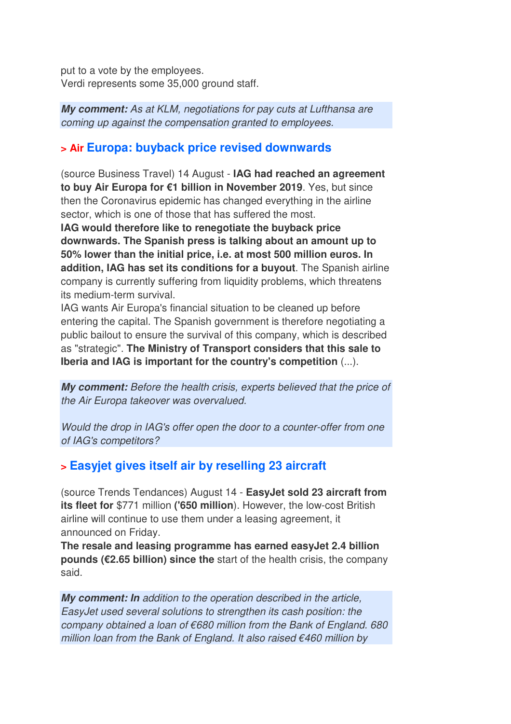put to a vote by the employees. Verdi represents some 35,000 ground staff.

**My comment:** As at KLM, negotiations for pay cuts at Lufthansa are coming up against the compensation granted to employees.

## **> Air Europa: buyback price revised downwards**

(source Business Travel) 14 August - **IAG had reached an agreement to buy Air Europa for €1 billion in November 2019**. Yes, but since then the Coronavirus epidemic has changed everything in the airline sector, which is one of those that has suffered the most.

**IAG would therefore like to renegotiate the buyback price downwards. The Spanish press is talking about an amount up to 50% lower than the initial price, i.e. at most 500 million euros. In addition, IAG has set its conditions for a buyout**. The Spanish airline company is currently suffering from liquidity problems, which threatens its medium-term survival.

IAG wants Air Europa's financial situation to be cleaned up before entering the capital. The Spanish government is therefore negotiating a public bailout to ensure the survival of this company, which is described as "strategic". **The Ministry of Transport considers that this sale to Iberia and IAG is important for the country's competition** (...).

**My comment:** Before the health crisis, experts believed that the price of the Air Europa takeover was overvalued.

Would the drop in IAG's offer open the door to a counter-offer from one of IAG's competitors?

# **> Easyjet gives itself air by reselling 23 aircraft**

(source Trends Tendances) August 14 - **EasyJet sold 23 aircraft from its fleet for** \$771 million **('650 million**). However, the low-cost British airline will continue to use them under a leasing agreement, it announced on Friday.

**The resale and leasing programme has earned easyJet 2.4 billion pounds (€2.65 billion) since the** start of the health crisis, the company said.

**My comment: In** addition to the operation described in the article, EasyJet used several solutions to strengthen its cash position: the company obtained a loan of €680 million from the Bank of England. 680 million loan from the Bank of England. It also raised €460 million by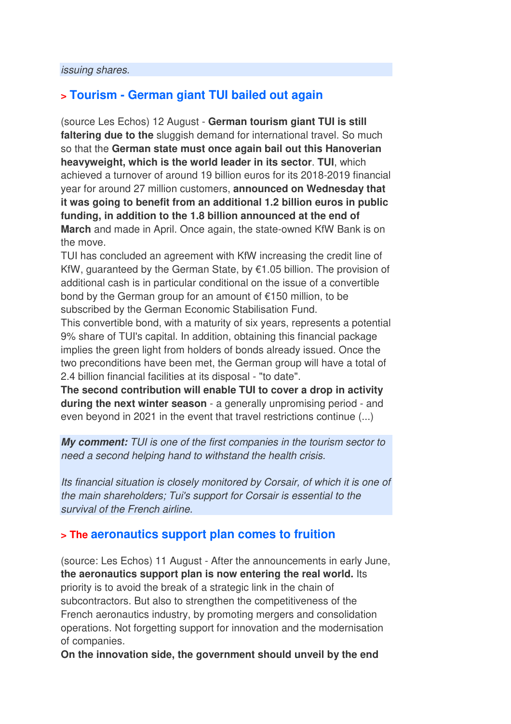## **> Tourism - German giant TUI bailed out again**

(source Les Echos) 12 August - **German tourism giant TUI is still faltering due to the** sluggish demand for international travel. So much so that the **German state must once again bail out this Hanoverian heavyweight, which is the world leader in its sector**. **TUI**, which achieved a turnover of around 19 billion euros for its 2018-2019 financial year for around 27 million customers, **announced on Wednesday that it was going to benefit from an additional 1.2 billion euros in public funding, in addition to the 1.8 billion announced at the end of March** and made in April. Once again, the state-owned KfW Bank is on the move.

TUI has concluded an agreement with KfW increasing the credit line of KfW, guaranteed by the German State, by €1.05 billion. The provision of additional cash is in particular conditional on the issue of a convertible bond by the German group for an amount of €150 million, to be subscribed by the German Economic Stabilisation Fund.

This convertible bond, with a maturity of six years, represents a potential 9% share of TUI's capital. In addition, obtaining this financial package implies the green light from holders of bonds already issued. Once the two preconditions have been met, the German group will have a total of 2.4 billion financial facilities at its disposal - "to date".

**The second contribution will enable TUI to cover a drop in activity during the next winter season** - a generally unpromising period - and even beyond in 2021 in the event that travel restrictions continue (...)

**My comment:** TUI is one of the first companies in the tourism sector to need a second helping hand to withstand the health crisis.

Its financial situation is closely monitored by Corsair, of which it is one of the main shareholders; Tui's support for Corsair is essential to the survival of the French airline.

## **> The aeronautics support plan comes to fruition**

(source: Les Echos) 11 August - After the announcements in early June, **the aeronautics support plan is now entering the real world.** Its priority is to avoid the break of a strategic link in the chain of subcontractors. But also to strengthen the competitiveness of the French aeronautics industry, by promoting mergers and consolidation operations. Not forgetting support for innovation and the modernisation of companies.

**On the innovation side, the government should unveil by the end**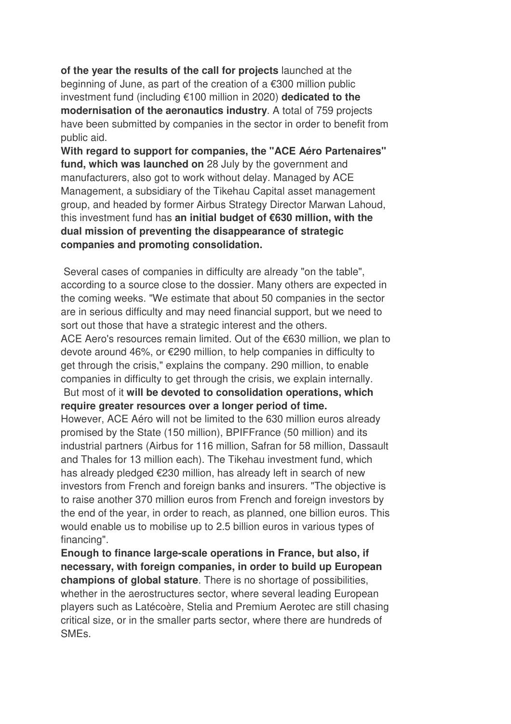**of the year the results of the call for projects** launched at the beginning of June, as part of the creation of a €300 million public investment fund (including €100 million in 2020) **dedicated to the modernisation of the aeronautics industry**. A total of 759 projects have been submitted by companies in the sector in order to benefit from public aid.

**With regard to support for companies, the "ACE Aéro Partenaires" fund, which was launched on** 28 July by the government and manufacturers, also got to work without delay. Managed by ACE Management, a subsidiary of the Tikehau Capital asset management group, and headed by former Airbus Strategy Director Marwan Lahoud, this investment fund has **an initial budget of €630 million, with the dual mission of preventing the disappearance of strategic companies and promoting consolidation.** 

 Several cases of companies in difficulty are already "on the table", according to a source close to the dossier. Many others are expected in the coming weeks. "We estimate that about 50 companies in the sector are in serious difficulty and may need financial support, but we need to sort out those that have a strategic interest and the others. ACE Aero's resources remain limited. Out of the €630 million, we plan to devote around 46%, or €290 million, to help companies in difficulty to get through the crisis," explains the company. 290 million, to enable companies in difficulty to get through the crisis, we explain internally. But most of it **will be devoted to consolidation operations, which require greater resources over a longer period of time.**  However, ACE Aéro will not be limited to the 630 million euros already promised by the State (150 million), BPIFFrance (50 million) and its industrial partners (Airbus for 116 million, Safran for 58 million, Dassault and Thales for 13 million each). The Tikehau investment fund, which has already pledged €230 million, has already left in search of new investors from French and foreign banks and insurers. "The objective is

to raise another 370 million euros from French and foreign investors by the end of the year, in order to reach, as planned, one billion euros. This would enable us to mobilise up to 2.5 billion euros in various types of financing".

**Enough to finance large-scale operations in France, but also, if necessary, with foreign companies, in order to build up European champions of global stature**. There is no shortage of possibilities, whether in the aerostructures sector, where several leading European players such as Latécoère, Stelia and Premium Aerotec are still chasing critical size, or in the smaller parts sector, where there are hundreds of SMEs.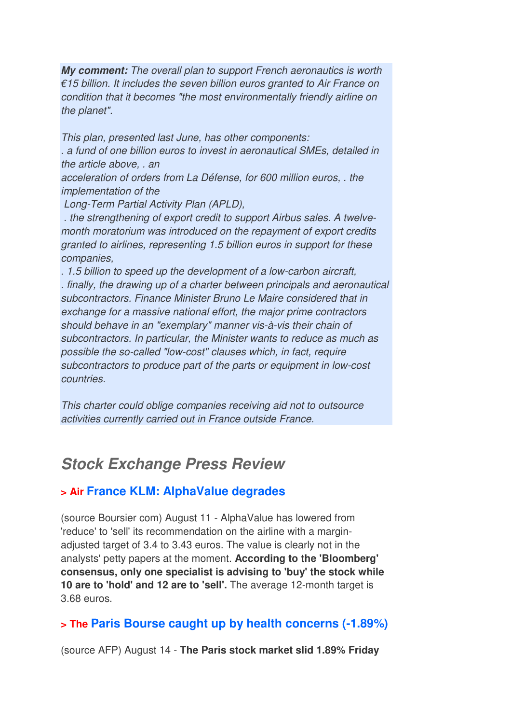**My comment:** The overall plan to support French aeronautics is worth €15 billion. It includes the seven billion euros granted to Air France on condition that it becomes "the most environmentally friendly airline on the planet".

This plan, presented last June, has other components: . a fund of one billion euros to invest in aeronautical SMEs, detailed in the article above, . an

acceleration of orders from La Défense, for 600 million euros, . the implementation of the

Long-Term Partial Activity Plan (APLD),

 . the strengthening of export credit to support Airbus sales. A twelvemonth moratorium was introduced on the repayment of export credits granted to airlines, representing 1.5 billion euros in support for these companies,

. 1.5 billion to speed up the development of a low-carbon aircraft, . finally, the drawing up of a charter between principals and aeronautical subcontractors. Finance Minister Bruno Le Maire considered that in exchange for a massive national effort, the major prime contractors should behave in an "exemplary" manner vis-à-vis their chain of subcontractors. In particular, the Minister wants to reduce as much as possible the so-called "low-cost" clauses which, in fact, require subcontractors to produce part of the parts or equipment in low-cost countries.

This charter could oblige companies receiving aid not to outsource activities currently carried out in France outside France.

# **Stock Exchange Press Review**

# **> Air France KLM: AlphaValue degrades**

(source Boursier com) August 11 - AlphaValue has lowered from 'reduce' to 'sell' its recommendation on the airline with a marginadjusted target of 3.4 to 3.43 euros. The value is clearly not in the analysts' petty papers at the moment. **According to the 'Bloomberg' consensus, only one specialist is advising to 'buy' the stock while 10 are to 'hold' and 12 are to 'sell'.** The average 12-month target is 3.68 euros.

# **> The Paris Bourse caught up by health concerns (-1.89%)**

(source AFP) August 14 - **The Paris stock market slid 1.89% Friday**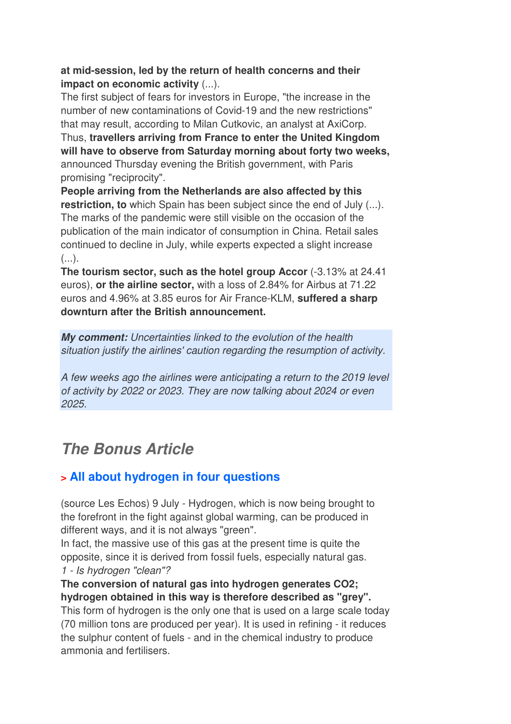#### **at mid-session, led by the return of health concerns and their impact on economic activity** (...).

The first subject of fears for investors in Europe, "the increase in the number of new contaminations of Covid-19 and the new restrictions" that may result, according to Milan Cutkovic, an analyst at AxiCorp. Thus, **travellers arriving from France to enter the United Kingdom will have to observe from Saturday morning about forty two weeks,** announced Thursday evening the British government, with Paris promising "reciprocity".

**People arriving from the Netherlands are also affected by this restriction, to** which Spain has been subject since the end of July (...). The marks of the pandemic were still visible on the occasion of the publication of the main indicator of consumption in China. Retail sales continued to decline in July, while experts expected a slight increase  $(\ldots).$ 

**The tourism sector, such as the hotel group Accor** (-3.13% at 24.41 euros), **or the airline sector,** with a loss of 2.84% for Airbus at 71.22 euros and 4.96% at 3.85 euros for Air France-KLM, **suffered a sharp downturn after the British announcement.**

**My comment:** Uncertainties linked to the evolution of the health situation justify the airlines' caution regarding the resumption of activity.

A few weeks ago the airlines were anticipating a return to the 2019 level of activity by 2022 or 2023. They are now talking about 2024 or even 2025.

# **The Bonus Article**

# **> All about hydrogen in four questions**

(source Les Echos) 9 July - Hydrogen, which is now being brought to the forefront in the fight against global warming, can be produced in different ways, and it is not always "green".

In fact, the massive use of this gas at the present time is quite the opposite, since it is derived from fossil fuels, especially natural gas. 1 - Is hydrogen "clean"?

**The conversion of natural gas into hydrogen generates CO2; hydrogen obtained in this way is therefore described as "grey".**

This form of hydrogen is the only one that is used on a large scale today (70 million tons are produced per year). It is used in refining - it reduces the sulphur content of fuels - and in the chemical industry to produce ammonia and fertilisers.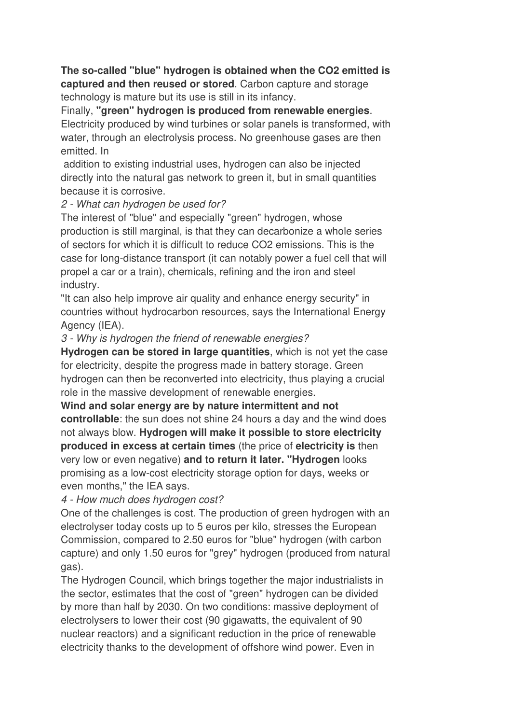**The so-called "blue" hydrogen is obtained when the CO2 emitted is captured and then reused or stored**. Carbon capture and storage technology is mature but its use is still in its infancy.

Finally, **"green" hydrogen is produced from renewable energies**. Electricity produced by wind turbines or solar panels is transformed, with water, through an electrolysis process. No greenhouse gases are then emitted. In

 addition to existing industrial uses, hydrogen can also be injected directly into the natural gas network to green it, but in small quantities because it is corrosive.

#### 2 - What can hydrogen be used for?

The interest of "blue" and especially "green" hydrogen, whose production is still marginal, is that they can decarbonize a whole series of sectors for which it is difficult to reduce CO2 emissions. This is the case for long-distance transport (it can notably power a fuel cell that will propel a car or a train), chemicals, refining and the iron and steel industry.

"It can also help improve air quality and enhance energy security" in countries without hydrocarbon resources, says the International Energy Agency (IEA).

#### 3 - Why is hydrogen the friend of renewable energies?

**Hydrogen can be stored in large quantities**, which is not yet the case for electricity, despite the progress made in battery storage. Green hydrogen can then be reconverted into electricity, thus playing a crucial role in the massive development of renewable energies.

**Wind and solar energy are by nature intermittent and not controllable**: the sun does not shine 24 hours a day and the wind does not always blow. **Hydrogen will make it possible to store electricity produced in excess at certain times** (the price of **electricity is** then very low or even negative) **and to return it later. "Hydrogen** looks promising as a low-cost electricity storage option for days, weeks or even months," the IEA says.

4 - How much does hydrogen cost?

One of the challenges is cost. The production of green hydrogen with an electrolyser today costs up to 5 euros per kilo, stresses the European Commission, compared to 2.50 euros for "blue" hydrogen (with carbon capture) and only 1.50 euros for "grey" hydrogen (produced from natural gas).

The Hydrogen Council, which brings together the major industrialists in the sector, estimates that the cost of "green" hydrogen can be divided by more than half by 2030. On two conditions: massive deployment of electrolysers to lower their cost (90 gigawatts, the equivalent of 90 nuclear reactors) and a significant reduction in the price of renewable electricity thanks to the development of offshore wind power. Even in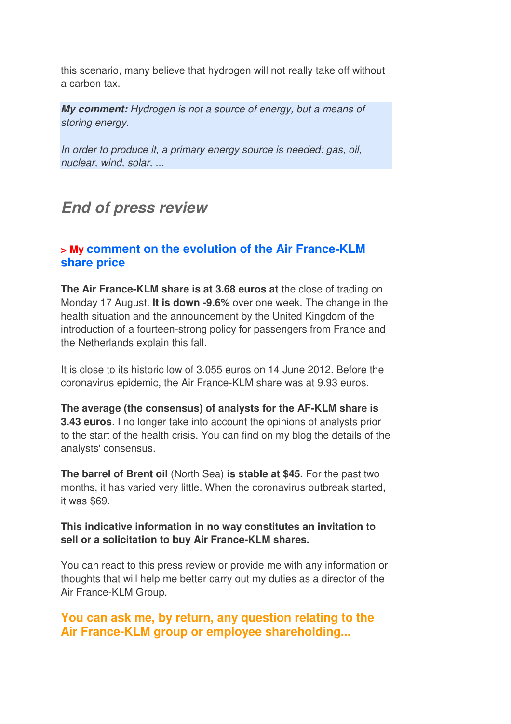this scenario, many believe that hydrogen will not really take off without a carbon tax.

**My comment:** Hydrogen is not a source of energy, but a means of storing energy.

In order to produce it, a primary energy source is needed: gas, oil, nuclear, wind, solar, ...

# **End of press review**

## **> My comment on the evolution of the Air France-KLM share price**

**The Air France-KLM share is at 3.68 euros at** the close of trading on Monday 17 August. **It is down -9.6%** over one week. The change in the health situation and the announcement by the United Kingdom of the introduction of a fourteen-strong policy for passengers from France and the Netherlands explain this fall.

It is close to its historic low of 3.055 euros on 14 June 2012. Before the coronavirus epidemic, the Air France-KLM share was at 9.93 euros.

**The average (the consensus) of analysts for the AF-KLM share is 3.43 euros**. I no longer take into account the opinions of analysts prior to the start of the health crisis. You can find on my blog the details of the analysts' consensus.

**The barrel of Brent oil** (North Sea) **is stable at \$45.** For the past two months, it has varied very little. When the coronavirus outbreak started, it was \$69.

#### **This indicative information in no way constitutes an invitation to sell or a solicitation to buy Air France-KLM shares.**

You can react to this press review or provide me with any information or thoughts that will help me better carry out my duties as a director of the Air France-KLM Group.

**You can ask me, by return, any question relating to the Air France-KLM group or employee shareholding...**